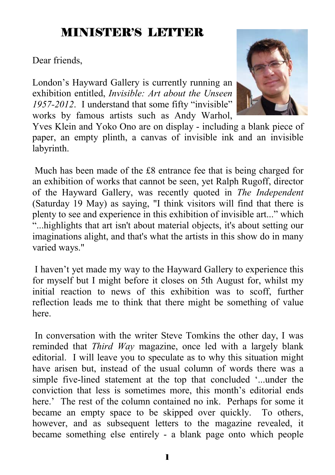## MINISTER'S LETTER

Dear friends,

London's Hayward Gallery is currently running an exhibition entitled, *Invisible: Art about the Unseen 1957-2012*. I understand that some fifty "invisible" works by famous artists such as Andy Warhol,



Yves Klein and Yoko Ono are on display - including a blank piece of paper, an empty plinth, a canvas of invisible ink and an invisible labyrinth.

 Much has been made of the £8 entrance fee that is being charged for an exhibition of works that cannot be seen, yet Ralph Rugoff, director of the Hayward Gallery, was recently quoted in *The Independent* (Saturday 19 May) as saying, "I think visitors will find that there is plenty to see and experience in this exhibition of invisible art..." which "...highlights that art isn't about material objects, it's about setting our imaginations alight, and that's what the artists in this show do in many varied ways."

 I haven't yet made my way to the Hayward Gallery to experience this for myself but I might before it closes on 5th August for, whilst my initial reaction to news of this exhibition was to scoff, further reflection leads me to think that there might be something of value here.

 In conversation with the writer Steve Tomkins the other day, I was reminded that *Third Way* magazine, once led with a largely blank editorial. I will leave you to speculate as to why this situation might have arisen but, instead of the usual column of words there was a simple five-lined statement at the top that concluded '...under the conviction that less is sometimes more, this month's editorial ends here.' The rest of the column contained no ink. Perhaps for some it became an empty space to be skipped over quickly. To others, however, and as subsequent letters to the magazine revealed, it became something else entirely - a blank page onto which people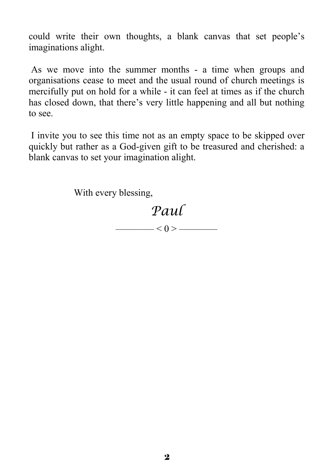could write their own thoughts, a blank canvas that set people's imaginations alight.

 As we move into the summer months - a time when groups and organisations cease to meet and the usual round of church meetings is mercifully put on hold for a while - it can feel at times as if the church has closed down, that there's very little happening and all but nothing to see.

 I invite you to see this time not as an empty space to be skipped over quickly but rather as a God-given gift to be treasured and cherished: a blank canvas to set your imagination alight.

With every blessing,

# *Paul*

———— < 0 > ————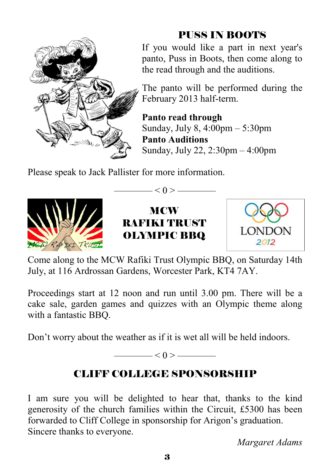

## PUSS IN BOOTS

If you would like a part in next year's panto, Puss in Boots, then come along to the read through and the auditions.

The panto will be performed during the February 2013 half-term.

**Panto read through**  Sunday, July 8, 4:00pm – 5:30pm **Panto Auditions**  Sunday, July 22, 2:30pm – 4:00pm

Please speak to Jack Pallister for more information.





——— $< 0 >$ ————



Come along to the MCW Rafiki Trust Olympic BBQ, on Saturday 14th July, at 116 Ardrossan Gardens, Worcester Park, KT4 7AY.

Proceedings start at 12 noon and run until 3.00 pm. There will be a cake sale, garden games and quizzes with an Olympic theme along with a fantastic BBQ.

Don't worry about the weather as if it is wet all will be held indoors.

 $< 0 >$  ———————

## CLIFF COLLEGE SPONSORSHIP

I am sure you will be delighted to hear that, thanks to the kind generosity of the church families within the Circuit, £5300 has been forwarded to Cliff College in sponsorship for Arigon's graduation. Sincere thanks to everyone.

*Margaret Adams*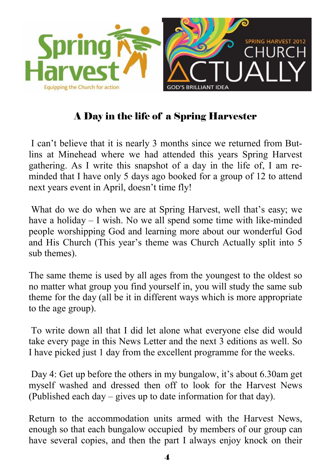

### A Day in the life of a Spring Harvester

 I can't believe that it is nearly 3 months since we returned from Butlins at Minehead where we had attended this years Spring Harvest gathering. As I write this snapshot of a day in the life of, I am reminded that I have only 5 days ago booked for a group of 12 to attend next years event in April, doesn't time fly!

 What do we do when we are at Spring Harvest, well that's easy; we have a holiday – I wish. No we all spend some time with like-minded people worshipping God and learning more about our wonderful God and His Church (This year's theme was Church Actually split into 5 sub themes).

The same theme is used by all ages from the youngest to the oldest so no matter what group you find yourself in, you will study the same sub theme for the day (all be it in different ways which is more appropriate to the age group).

 To write down all that I did let alone what everyone else did would take every page in this News Letter and the next 3 editions as well. So I have picked just 1 day from the excellent programme for the weeks.

 Day 4: Get up before the others in my bungalow, it's about 6.30am get myself washed and dressed then off to look for the Harvest News (Published each day – gives up to date information for that day).

Return to the accommodation units armed with the Harvest News, enough so that each bungalow occupied by members of our group can have several copies, and then the part I always enjoy knock on their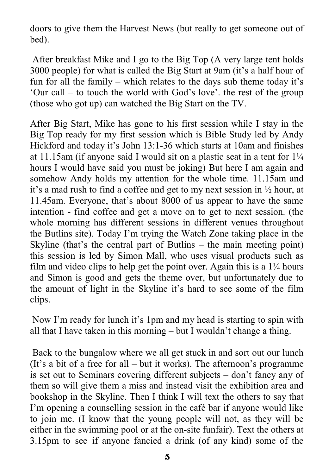doors to give them the Harvest News (but really to get someone out of bed).

 After breakfast Mike and I go to the Big Top (A very large tent holds 3000 people) for what is called the Big Start at 9am (it's a half hour of fun for all the family – which relates to the days sub theme today it's 'Our call – to touch the world with God's love'. the rest of the group (those who got up) can watched the Big Start on the TV.

After Big Start, Mike has gone to his first session while I stay in the Big Top ready for my first session which is Bible Study led by Andy Hickford and today it's John 13:1-36 which starts at 10am and finishes at 11.15am (if anyone said I would sit on a plastic seat in a tent for  $1\frac{1}{4}$ hours I would have said you must be joking) But here I am again and somehow Andy holds my attention for the whole time. 11.15am and it's a mad rush to find a coffee and get to my next session in ½ hour, at 11.45am. Everyone, that's about 8000 of us appear to have the same intention - find coffee and get a move on to get to next session. (the whole morning has different sessions in different venues throughout the Butlins site). Today I'm trying the Watch Zone taking place in the Skyline (that's the central part of Butlins – the main meeting point) this session is led by Simon Mall, who uses visual products such as film and video clips to help get the point over. Again this is a  $1/4$  hours and Simon is good and gets the theme over, but unfortunately due to the amount of light in the Skyline it's hard to see some of the film clips.

 Now I'm ready for lunch it's 1pm and my head is starting to spin with all that I have taken in this morning – but I wouldn't change a thing.

 Back to the bungalow where we all get stuck in and sort out our lunch (It's a bit of a free for all – but it works). The afternoon's programme is set out to Seminars covering different subjects – don't fancy any of them so will give them a miss and instead visit the exhibition area and bookshop in the Skyline. Then I think I will text the others to say that I'm opening a counselling session in the café bar if anyone would like to join me. (I know that the young people will not, as they will be either in the swimming pool or at the on-site funfair). Text the others at 3.15pm to see if anyone fancied a drink (of any kind) some of the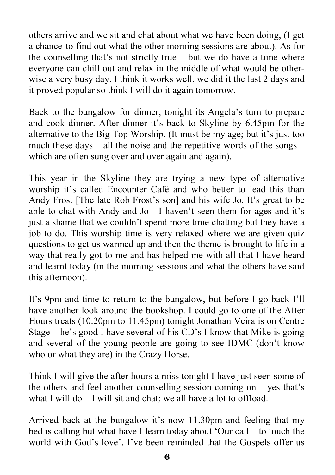others arrive and we sit and chat about what we have been doing, (I get a chance to find out what the other morning sessions are about). As for the counselling that's not strictly true – but we do have a time where everyone can chill out and relax in the middle of what would be otherwise a very busy day. I think it works well, we did it the last 2 days and it proved popular so think I will do it again tomorrow.

Back to the bungalow for dinner, tonight its Angela's turn to prepare and cook dinner. After dinner it's back to Skyline by 6.45pm for the alternative to the Big Top Worship. (It must be my age; but it's just too much these days – all the noise and the repetitive words of the songs – which are often sung over and over again and again).

This year in the Skyline they are trying a new type of alternative worship it's called Encounter Café and who better to lead this than Andy Frost [The late Rob Frost's son] and his wife Jo. It's great to be able to chat with Andy and Jo - I haven't seen them for ages and it's just a shame that we couldn't spend more time chatting but they have a job to do. This worship time is very relaxed where we are given quiz questions to get us warmed up and then the theme is brought to life in a way that really got to me and has helped me with all that I have heard and learnt today (in the morning sessions and what the others have said this afternoon).

It's 9pm and time to return to the bungalow, but before I go back I'll have another look around the bookshop. I could go to one of the After Hours treats (10.20pm to 11.45pm) tonight Jonathan Veira is on Centre Stage – he's good I have several of his CD's I know that Mike is going and several of the young people are going to see IDMC (don't know who or what they are) in the Crazy Horse.

Think I will give the after hours a miss tonight I have just seen some of the others and feel another counselling session coming on – yes that's what I will do – I will sit and chat; we all have a lot to offload.

Arrived back at the bungalow it's now 11.30pm and feeling that my bed is calling but what have I learn today about 'Our call – to touch the world with God's love'. I've been reminded that the Gospels offer us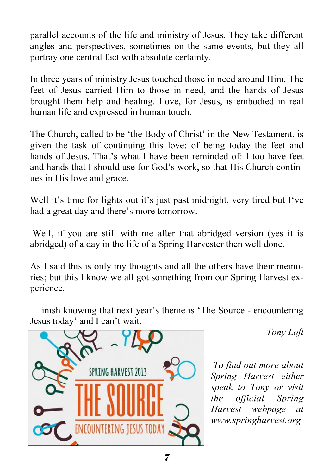parallel accounts of the life and ministry of Jesus. They take different angles and perspectives, sometimes on the same events, but they all portray one central fact with absolute certainty.

In three years of ministry Jesus touched those in need around Him. The feet of Jesus carried Him to those in need, and the hands of Jesus brought them help and healing. Love, for Jesus, is embodied in real human life and expressed in human touch.

The Church, called to be 'the Body of Christ' in the New Testament, is given the task of continuing this love: of being today the feet and hands of Jesus. That's what I have been reminded of: I too have feet and hands that I should use for God's work, so that His Church continues in His love and grace.

Well it's time for lights out it's just past midnight, very tired but I've had a great day and there's more tomorrow.

Well, if you are still with me after that abridged version (yes it is abridged) of a day in the life of a Spring Harvester then well done.

As I said this is only my thoughts and all the others have their memories; but this I know we all got something from our Spring Harvest experience.

 I finish knowing that next year's theme is 'The Source - encountering Jesus today' and I can't wait.



*Tony Loft* 

 *To find out more about Spring Harvest either speak to Tony or visit the official Spring Harvest webpage at www.springharvest.org*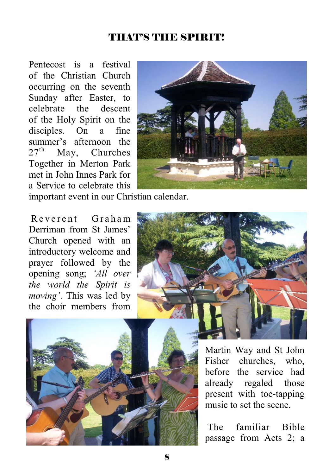### THAT'S THE SPIRIT!

Pentecost is a festival of the Christian Church occurring on the seventh Sunday after Easter, to celebrate the descent of the Holy Spirit on the disciples. On a fine summer's afternoon the  $27<sup>th</sup>$  May Churches May, Churches Together in Merton Park met in John Innes Park for a Service to celebrate this



important event in our Christian calendar.

R everent Graham Derriman from St James' Church opened with an introductory welcome and prayer followed by the opening song; *'All over the world the Spirit is moving'*. This was led by the choir members from





Martin Way and St John Fisher churches, who, before the service had already regaled those present with toe-tapping music to set the scene.

 The familiar Bible passage from Acts 2; a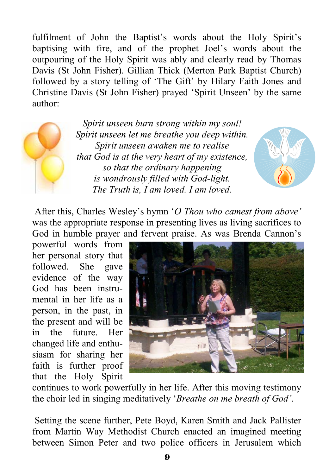fulfilment of John the Baptist's words about the Holy Spirit's baptising with fire, and of the prophet Joel's words about the outpouring of the Holy Spirit was ably and clearly read by Thomas Davis (St John Fisher). Gillian Thick (Merton Park Baptist Church) followed by a story telling of 'The Gift' by Hilary Faith Jones and Christine Davis (St John Fisher) prayed 'Spirit Unseen' by the same author:

*Spirit unseen burn strong within my soul! Spirit unseen let me breathe you deep within. Spirit unseen awaken me to realise that God is at the very heart of my existence, so that the ordinary happening is wondrously filled with God-light. The Truth is, I am loved. I am loved.* 



 After this, Charles Wesley's hymn '*O Thou who camest from above'* was the appropriate response in presenting lives as living sacrifices to God in humble prayer and fervent praise. As was Brenda Cannon's

powerful words from her personal story that followed. She gave evidence of the way God has been instrumental in her life as a person, in the past, in the present and will be in the future. Her changed life and enthusiasm for sharing her faith is further proof that the Holy Spirit



continues to work powerfully in her life. After this moving testimony the choir led in singing meditatively '*Breathe on me breath of God'*.

 Setting the scene further, Pete Boyd, Karen Smith and Jack Pallister from Martin Way Methodist Church enacted an imagined meeting between Simon Peter and two police officers in Jerusalem which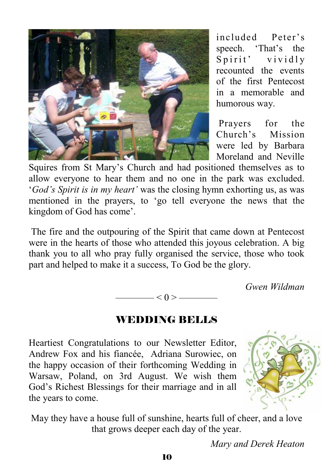

included Peter's speech. 'That's the Spirit' vividly recounted the events of the first Pentecost in a memorable and humorous way.

 Prayers for the Church's Mission were led by Barbara Moreland and Neville

Squires from St Mary's Church and had positioned themselves as to allow everyone to hear them and no one in the park was excluded. '*God's Spirit is in my heart'* was the closing hymn exhorting us, as was mentioned in the prayers, to 'go tell everyone the news that the kingdom of God has come'.

 The fire and the outpouring of the Spirit that came down at Pentecost were in the hearts of those who attended this joyous celebration. A big thank you to all who pray fully organised the service, those who took part and helped to make it a success, To God be the glory.

*Gwen Wildman* 

$$
\overbrace{\hspace{4.5cm}}<0>\overbrace{\hspace{4.5cm}}
$$

#### WEDDING BELLS

Heartiest Congratulations to our Newsletter Editor, Andrew Fox and his fiancée, Adriana Surowiec, on the happy occasion of their forthcoming Wedding in Warsaw, Poland, on 3rd August. We wish them God's Richest Blessings for their marriage and in all the years to come.



May they have a house full of sunshine, hearts full of cheer, and a love that grows deeper each day of the year.

*Mary and Derek Heaton*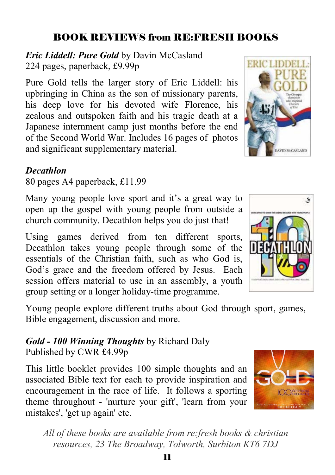# 11 *All of these books are available from re:fresh books & christian resources, 23 The Broadway, Tolworth, Surbiton KT6 7DJ*

### BOOK REVIEWS from RE:FRESH BOOKS

*Eric Liddell: Pure Gold* by Davin McCasland 224 pages, paperback, £9.99p

Pure Gold tells the larger story of Eric Liddell: his upbringing in China as the son of missionary parents, his deep love for his devoted wife Florence, his zealous and outspoken faith and his tragic death at a Japanese internment camp just months before the end of the Second World War. Includes 16 pages of photos and significant supplementary material.

#### *Decathlon*

80 pages A4 paperback, £11.99

Many young people love sport and it's a great way to open up the gospel with young people from outside a church community. Decathlon helps you do just that!

Using games derived from ten different sports, Decathlon takes young people through some of the essentials of the Christian faith, such as who God is, God's grace and the freedom offered by Jesus. Each session offers material to use in an assembly, a youth group setting or a longer holiday-time programme.

Young people explore different truths about God through sport, games, Bible engagement, discussion and more.

### *Gold - 100 Winning Thoughts* by Richard Daly Published by CWR £4.99p

This little booklet provides 100 simple thoughts and an associated Bible text for each to provide inspiration and encouragement in the race of life. It follows a sporting theme throughout - 'nurture your gift', 'learn from your mistakes', 'get up again' etc.

Ś



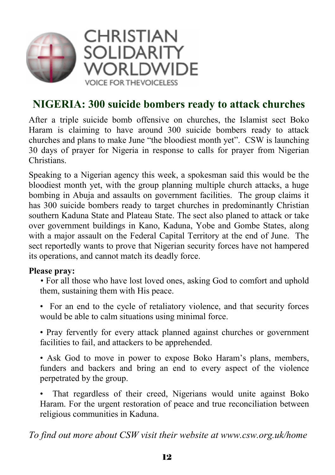

## **NIGERIA: 300 suicide bombers ready to attack churches**

After a triple suicide bomb offensive on churches, the Islamist sect Boko Haram is claiming to have around 300 suicide bombers ready to attack churches and plans to make June "the bloodiest month yet". CSW is launching 30 days of prayer for Nigeria in response to calls for prayer from Nigerian Christians.

Speaking to a Nigerian agency this week, a spokesman said this would be the bloodiest month yet, with the group planning multiple church attacks, a huge bombing in Abuja and assaults on government facilities. The group claims it has 300 suicide bombers ready to target churches in predominantly Christian southern Kaduna State and Plateau State. The sect also planed to attack or take over government buildings in Kano, Kaduna, Yobe and Gombe States, along with a major assault on the Federal Capital Territory at the end of June. The sect reportedly wants to prove that Nigerian security forces have not hampered its operations, and cannot match its deadly force.

#### **Please pray:**

• For all those who have lost loved ones, asking God to comfort and uphold them, sustaining them with His peace.

• For an end to the cycle of retaliatory violence, and that security forces would be able to calm situations using minimal force.

• Pray fervently for every attack planned against churches or government facilities to fail, and attackers to be apprehended.

• Ask God to move in power to expose Boko Haram's plans, members, funders and backers and bring an end to every aspect of the violence perpetrated by the group.

That regardless of their creed, Nigerians would unite against Boko Haram. For the urgent restoration of peace and true reconciliation between religious communities in Kaduna.

*To find out more about CSW visit their website at www.csw.org.uk/home*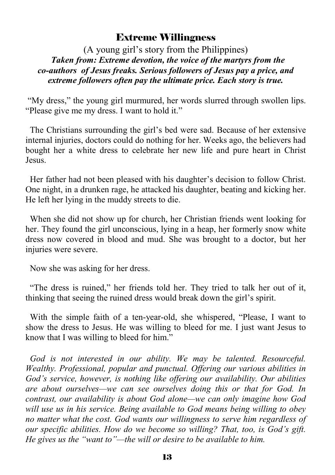#### Extreme Willingness

#### (A young girl's story from the Philippines)  *Taken from: Extreme devotion, the voice of the martyrs from the co-authors of Jesus freaks. Serious followers of Jesus pay a price, and extreme followers often pay the ultimate price. Each story is true.*

 "My dress," the young girl murmured, her words slurred through swollen lips. "Please give me my dress. I want to hold it."

 The Christians surrounding the girl's bed were sad. Because of her extensive internal injuries, doctors could do nothing for her. Weeks ago, the believers had bought her a white dress to celebrate her new life and pure heart in Christ Jesus.

 Her father had not been pleased with his daughter's decision to follow Christ. One night, in a drunken rage, he attacked his daughter, beating and kicking her. He left her lying in the muddy streets to die.

 When she did not show up for church, her Christian friends went looking for her. They found the girl unconscious, lying in a heap, her formerly snow white dress now covered in blood and mud. She was brought to a doctor, but her injuries were severe.

Now she was asking for her dress.

 "The dress is ruined," her friends told her. They tried to talk her out of it, thinking that seeing the ruined dress would break down the girl's spirit.

 With the simple faith of a ten-year-old, she whispered, "Please, I want to show the dress to Jesus. He was willing to bleed for me. I just want Jesus to know that I was willing to bleed for him."

 *God is not interested in our ability. We may be talented. Resourceful. Wealthy. Professional, popular and punctual. Offering our various abilities in God's service, however, is nothing like offering our availability. Our abilities are about ourselves—we can see ourselves doing this or that for God. In contrast, our availability is about God alone—we can only imagine how God will use us in his service. Being available to God means being willing to obey no matter what the cost. God wants our willingness to serve him regardless of our specific abilities. How do we become so willing? That, too, is God's gift. He gives us the "want to"—the will or desire to be available to him.*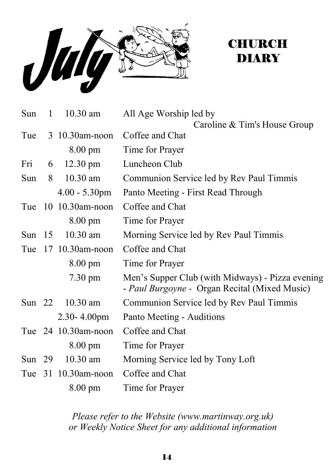

## **CHURCH** DIARY

| $\mathbf{1}$ | $10.30$ am         | All Age Worship led by                                                                                                                               |
|--------------|--------------------|------------------------------------------------------------------------------------------------------------------------------------------------------|
|              |                    | Caroline & Tim's House Group                                                                                                                         |
|              |                    | Coffee and Chat                                                                                                                                      |
|              | $8.00 \text{ pm}$  | Time for Prayer                                                                                                                                      |
|              | $12.30 \text{ pm}$ | Luncheon Club                                                                                                                                        |
|              | $10.30$ am         | Communion Service led by Rev Paul Timmis                                                                                                             |
|              | $4.00 - 5.30$ pm   | Panto Meeting - First Read Through                                                                                                                   |
|              |                    | Coffee and Chat                                                                                                                                      |
|              | 8.00 pm            | Time for Prayer                                                                                                                                      |
| Sun $15$     | $10.30$ am         | Morning Service led by Rev Paul Timmis                                                                                                               |
|              |                    | Coffee and Chat                                                                                                                                      |
|              | $8.00 \text{ pm}$  | Time for Prayer                                                                                                                                      |
|              | $7.30 \text{ pm}$  | Men's Supper Club (with Midways) - Pizza evening<br>- Paul Burgoyne - Organ Recital (Mixed Music)                                                    |
|              | $10.30$ am         | Communion Service led by Rev Paul Timmis                                                                                                             |
|              | $2.30 - 4.00$ pm   | Panto Meeting - Auditions                                                                                                                            |
|              |                    | Coffee and Chat                                                                                                                                      |
|              | 8.00 pm            | Time for Prayer                                                                                                                                      |
|              | $10.30$ am         | Morning Service led by Tony Loft                                                                                                                     |
|              |                    | Coffee and Chat                                                                                                                                      |
|              | 8.00 pm            | Time for Prayer                                                                                                                                      |
|              |                    | $3\,10.30$ am-noon<br>Fri 6<br>Sun 8<br>Tue 10 10.30am-noon<br>17 10.30am-noon<br>Sun $22$<br>Tue 24 10.30am-noon<br>Sun $29$<br>Tue 31 10.30am-noon |

*Please refer to the Website (www.martinway.org.uk) or Weekly Notice Sheet for any additional information*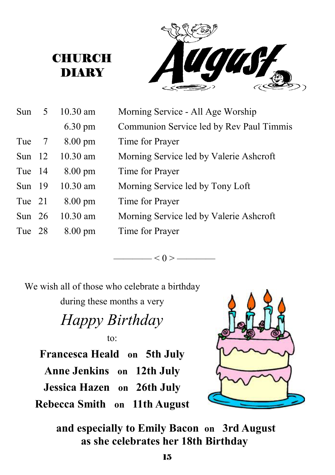**CHURCH DIARY** 



| Sun      | 5              | $10.30$ am        | Morning Service - All Age Worship        |
|----------|----------------|-------------------|------------------------------------------|
|          |                | $6.30 \text{ pm}$ | Communion Service led by Rev Paul Timmis |
| Tue      | $\overline{7}$ | $8.00 \text{ pm}$ | Time for Prayer                          |
| Sun $12$ |                | $10.30$ am        | Morning Service led by Valerie Ashcroft  |
| Tue 14   |                | $8.00 \text{ pm}$ | Time for Prayer                          |
| Sun $19$ |                | $10.30$ am        | Morning Service led by Tony Loft         |
| Tue 21   |                | $8.00 \text{ pm}$ | Time for Prayer                          |
| Sun $26$ |                | $10.30$ am        | Morning Service led by Valerie Ashcroft  |
| Tue 28   |                | $8.00 \text{ pm}$ | Time for Prayer                          |

 $< 0 >$ 

We wish all of those who celebrate a birthday

during these months a very

## *Happy Birthday*  to:

**Francesca Heald on 5th July Anne Jenkins on 12th July Jessica Hazen on 26th July Rebecca Smith on 11th August** 



 **and especially to Emily Bacon on 3rd August as she celebrates her 18th Birthday**